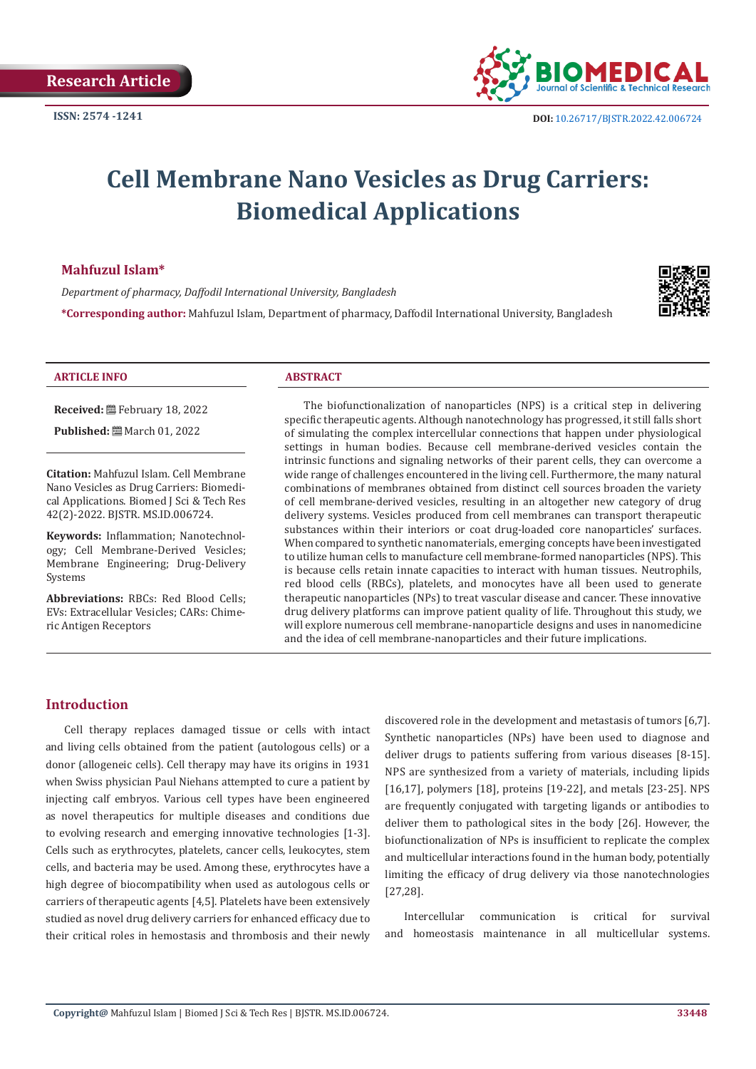

# **Cell Membrane Nano Vesicles as Drug Carriers: Biomedical Applications**

## **Mahfuzul Islam\***

*Department of pharmacy, Daffodil International University, Bangladesh*

**\*Corresponding author:** Mahfuzul Islam, Department of pharmacy, Daffodil International University, Bangladesh



#### **ARTICLE INFO ABSTRACT**

**Received:** February 18, 2022

**Published:** ■ March 01, 2022

**Citation:** Mahfuzul Islam. Cell Membrane Nano Vesicles as Drug Carriers: Biomedical Applications. Biomed J Sci & Tech Res 42(2)-2022. BJSTR. MS.ID.006724.

**Keywords:** Inflammation; Nanotechnology; Cell Membrane-Derived Vesicles; Membrane Engineering; Drug-Delivery Systems

**Abbreviations:** RBCs: Red Blood Cells; EVs: Extracellular Vesicles; CARs: Chimeric Antigen Receptors

The biofunctionalization of nanoparticles (NPS) is a critical step in delivering specific therapeutic agents. Although nanotechnology has progressed, it still falls short of simulating the complex intercellular connections that happen under physiological settings in human bodies. Because cell membrane-derived vesicles contain the intrinsic functions and signaling networks of their parent cells, they can overcome a wide range of challenges encountered in the living cell. Furthermore, the many natural combinations of membranes obtained from distinct cell sources broaden the variety of cell membrane-derived vesicles, resulting in an altogether new category of drug delivery systems. Vesicles produced from cell membranes can transport therapeutic substances within their interiors or coat drug-loaded core nanoparticles' surfaces. When compared to synthetic nanomaterials, emerging concepts have been investigated to utilize human cells to manufacture cell membrane-formed nanoparticles (NPS). This is because cells retain innate capacities to interact with human tissues. Neutrophils, red blood cells (RBCs), platelets, and monocytes have all been used to generate therapeutic nanoparticles (NPs) to treat vascular disease and cancer. These innovative drug delivery platforms can improve patient quality of life. Throughout this study, we will explore numerous cell membrane-nanoparticle designs and uses in nanomedicine and the idea of cell membrane-nanoparticles and their future implications.

### **Introduction**

Cell therapy replaces damaged tissue or cells with intact and living cells obtained from the patient (autologous cells) or a donor (allogeneic cells). Cell therapy may have its origins in 1931 when Swiss physician Paul Niehans attempted to cure a patient by injecting calf embryos. Various cell types have been engineered as novel therapeutics for multiple diseases and conditions due to evolving research and emerging innovative technologies [1-3]. Cells such as erythrocytes, platelets, cancer cells, leukocytes, stem cells, and bacteria may be used. Among these, erythrocytes have a high degree of biocompatibility when used as autologous cells or carriers of therapeutic agents [4,5]. Platelets have been extensively studied as novel drug delivery carriers for enhanced efficacy due to their critical roles in hemostasis and thrombosis and their newly

discovered role in the development and metastasis of tumors [6,7]. Synthetic nanoparticles (NPs) have been used to diagnose and deliver drugs to patients suffering from various diseases [8-15]. NPS are synthesized from a variety of materials, including lipids [16,17], polymers [18], proteins [19-22], and metals [23-25]. NPS are frequently conjugated with targeting ligands or antibodies to deliver them to pathological sites in the body [26]. However, the biofunctionalization of NPs is insufficient to replicate the complex and multicellular interactions found in the human body, potentially limiting the efficacy of drug delivery via those nanotechnologies [27,28].

Intercellular communication is critical for survival and homeostasis maintenance in all multicellular systems.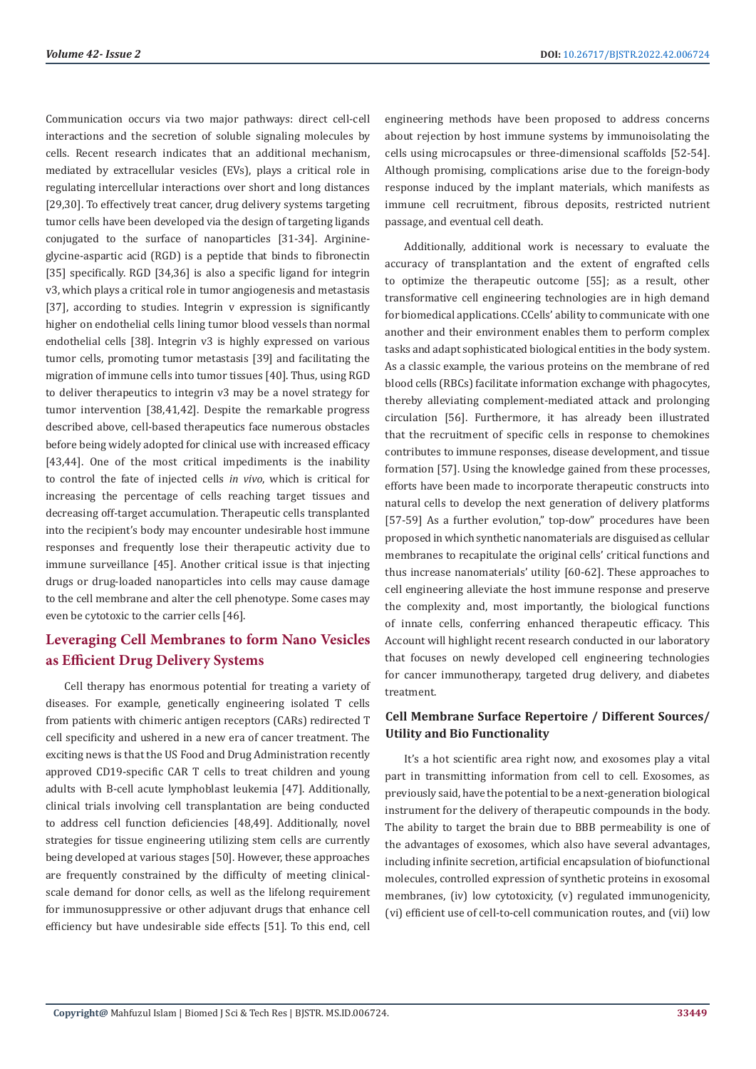Communication occurs via two major pathways: direct cell-cell interactions and the secretion of soluble signaling molecules by cells. Recent research indicates that an additional mechanism, mediated by extracellular vesicles (EVs), plays a critical role in regulating intercellular interactions over short and long distances [29,30]. To effectively treat cancer, drug delivery systems targeting tumor cells have been developed via the design of targeting ligands conjugated to the surface of nanoparticles [31-34]. Arginineglycine-aspartic acid (RGD) is a peptide that binds to fibronectin [35] specifically. RGD [34,36] is also a specific ligand for integrin v3, which plays a critical role in tumor angiogenesis and metastasis [37], according to studies. Integrin v expression is significantly higher on endothelial cells lining tumor blood vessels than normal endothelial cells [38]. Integrin v3 is highly expressed on various tumor cells, promoting tumor metastasis [39] and facilitating the migration of immune cells into tumor tissues [40]. Thus, using RGD to deliver therapeutics to integrin v3 may be a novel strategy for tumor intervention [38,41,42]. Despite the remarkable progress described above, cell-based therapeutics face numerous obstacles before being widely adopted for clinical use with increased efficacy [43,44]. One of the most critical impediments is the inability to control the fate of injected cells *in vivo*, which is critical for increasing the percentage of cells reaching target tissues and decreasing off-target accumulation. Therapeutic cells transplanted into the recipient's body may encounter undesirable host immune responses and frequently lose their therapeutic activity due to immune surveillance [45]. Another critical issue is that injecting drugs or drug-loaded nanoparticles into cells may cause damage to the cell membrane and alter the cell phenotype. Some cases may even be cytotoxic to the carrier cells [46].

# **Leveraging Cell Membranes to form Nano Vesicles as Efficient Drug Delivery Systems**

Cell therapy has enormous potential for treating a variety of diseases. For example, genetically engineering isolated T cells from patients with chimeric antigen receptors (CARs) redirected T cell specificity and ushered in a new era of cancer treatment. The exciting news is that the US Food and Drug Administration recently approved CD19-specific CAR T cells to treat children and young adults with B-cell acute lymphoblast leukemia [47]. Additionally, clinical trials involving cell transplantation are being conducted to address cell function deficiencies [48,49]. Additionally, novel strategies for tissue engineering utilizing stem cells are currently being developed at various stages [50]. However, these approaches are frequently constrained by the difficulty of meeting clinicalscale demand for donor cells, as well as the lifelong requirement for immunosuppressive or other adjuvant drugs that enhance cell efficiency but have undesirable side effects [51]. To this end, cell engineering methods have been proposed to address concerns about rejection by host immune systems by immunoisolating the cells using microcapsules or three-dimensional scaffolds [52-54]. Although promising, complications arise due to the foreign-body response induced by the implant materials, which manifests as immune cell recruitment, fibrous deposits, restricted nutrient passage, and eventual cell death.

Additionally, additional work is necessary to evaluate the accuracy of transplantation and the extent of engrafted cells to optimize the therapeutic outcome [55]; as a result, other transformative cell engineering technologies are in high demand for biomedical applications. CCells' ability to communicate with one another and their environment enables them to perform complex tasks and adapt sophisticated biological entities in the body system. As a classic example, the various proteins on the membrane of red blood cells (RBCs) facilitate information exchange with phagocytes, thereby alleviating complement-mediated attack and prolonging circulation [56]. Furthermore, it has already been illustrated that the recruitment of specific cells in response to chemokines contributes to immune responses, disease development, and tissue formation [57]. Using the knowledge gained from these processes, efforts have been made to incorporate therapeutic constructs into natural cells to develop the next generation of delivery platforms [57-59] As a further evolution," top-dow" procedures have been proposed in which synthetic nanomaterials are disguised as cellular membranes to recapitulate the original cells' critical functions and thus increase nanomaterials' utility [60-62]. These approaches to cell engineering alleviate the host immune response and preserve the complexity and, most importantly, the biological functions of innate cells, conferring enhanced therapeutic efficacy. This Account will highlight recent research conducted in our laboratory that focuses on newly developed cell engineering technologies for cancer immunotherapy, targeted drug delivery, and diabetes treatment.

# **Cell Membrane Surface Repertoire / Different Sources/ Utility and Bio Functionality**

It's a hot scientific area right now, and exosomes play a vital part in transmitting information from cell to cell. Exosomes, as previously said, have the potential to be a next-generation biological instrument for the delivery of therapeutic compounds in the body. The ability to target the brain due to BBB permeability is one of the advantages of exosomes, which also have several advantages, including infinite secretion, artificial encapsulation of biofunctional molecules, controlled expression of synthetic proteins in exosomal membranes, (iv) low cytotoxicity, (v) regulated immunogenicity, (vi) efficient use of cell-to-cell communication routes, and (vii) low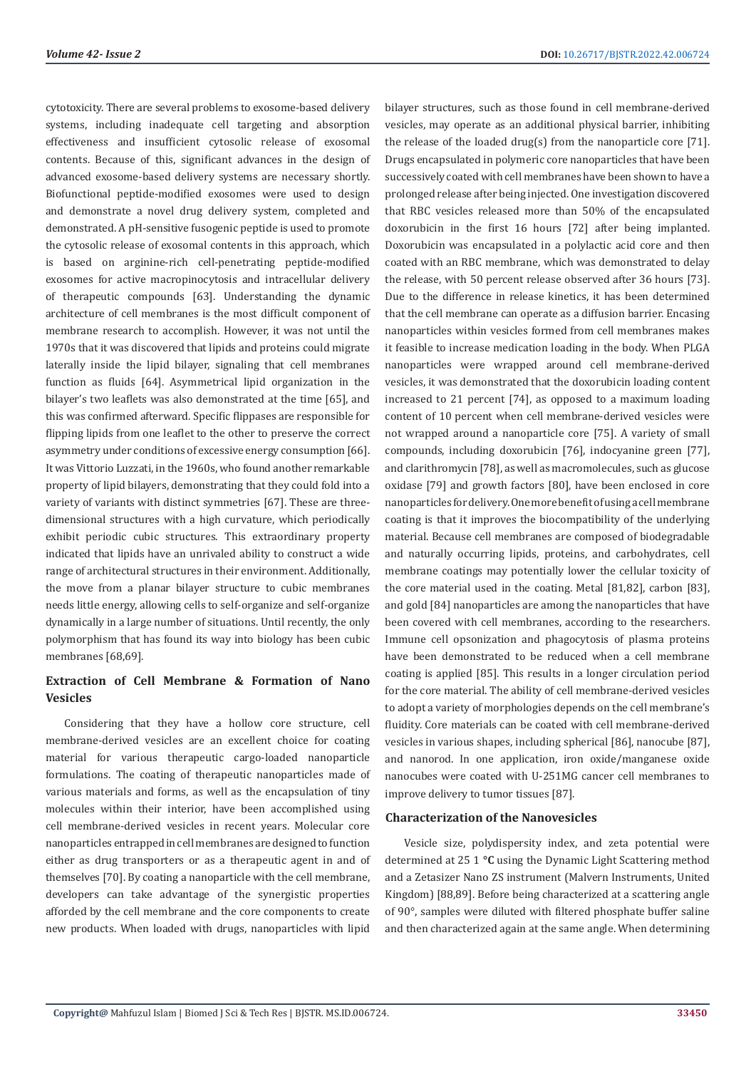cytotoxicity. There are several problems to exosome-based delivery systems, including inadequate cell targeting and absorption effectiveness and insufficient cytosolic release of exosomal contents. Because of this, significant advances in the design of advanced exosome-based delivery systems are necessary shortly. Biofunctional peptide-modified exosomes were used to design and demonstrate a novel drug delivery system, completed and demonstrated. A pH-sensitive fusogenic peptide is used to promote the cytosolic release of exosomal contents in this approach, which is based on arginine-rich cell-penetrating peptide-modified exosomes for active macropinocytosis and intracellular delivery of therapeutic compounds [63]. Understanding the dynamic architecture of cell membranes is the most difficult component of membrane research to accomplish. However, it was not until the 1970s that it was discovered that lipids and proteins could migrate laterally inside the lipid bilayer, signaling that cell membranes function as fluids [64]. Asymmetrical lipid organization in the bilayer's two leaflets was also demonstrated at the time [65], and this was confirmed afterward. Specific flippases are responsible for flipping lipids from one leaflet to the other to preserve the correct asymmetry under conditions of excessive energy consumption [66]. It was Vittorio Luzzati, in the 1960s, who found another remarkable property of lipid bilayers, demonstrating that they could fold into a variety of variants with distinct symmetries [67]. These are threedimensional structures with a high curvature, which periodically exhibit periodic cubic structures. This extraordinary property indicated that lipids have an unrivaled ability to construct a wide range of architectural structures in their environment. Additionally, the move from a planar bilayer structure to cubic membranes needs little energy, allowing cells to self-organize and self-organize dynamically in a large number of situations. Until recently, the only polymorphism that has found its way into biology has been cubic membranes [68,69].

# **Extraction of Cell Membrane & Formation of Nano Vesicles**

Considering that they have a hollow core structure, cell membrane-derived vesicles are an excellent choice for coating material for various therapeutic cargo-loaded nanoparticle formulations. The coating of therapeutic nanoparticles made of various materials and forms, as well as the encapsulation of tiny molecules within their interior, have been accomplished using cell membrane-derived vesicles in recent years. Molecular core nanoparticles entrapped in cell membranes are designed to function either as drug transporters or as a therapeutic agent in and of themselves [70]. By coating a nanoparticle with the cell membrane, developers can take advantage of the synergistic properties afforded by the cell membrane and the core components to create new products. When loaded with drugs, nanoparticles with lipid

bilayer structures, such as those found in cell membrane-derived vesicles, may operate as an additional physical barrier, inhibiting the release of the loaded drug(s) from the nanoparticle core [71]. Drugs encapsulated in polymeric core nanoparticles that have been successively coated with cell membranes have been shown to have a prolonged release after being injected. One investigation discovered that RBC vesicles released more than 50% of the encapsulated doxorubicin in the first 16 hours [72] after being implanted. Doxorubicin was encapsulated in a polylactic acid core and then coated with an RBC membrane, which was demonstrated to delay the release, with 50 percent release observed after 36 hours [73]. Due to the difference in release kinetics, it has been determined that the cell membrane can operate as a diffusion barrier. Encasing nanoparticles within vesicles formed from cell membranes makes it feasible to increase medication loading in the body. When PLGA nanoparticles were wrapped around cell membrane-derived vesicles, it was demonstrated that the doxorubicin loading content increased to 21 percent [74], as opposed to a maximum loading content of 10 percent when cell membrane-derived vesicles were not wrapped around a nanoparticle core [75]. A variety of small compounds, including doxorubicin [76], indocyanine green [77], and clarithromycin [78], as well as macromolecules, such as glucose oxidase [79] and growth factors [80], have been enclosed in core nanoparticles for delivery. One more benefit of using a cell membrane coating is that it improves the biocompatibility of the underlying material. Because cell membranes are composed of biodegradable and naturally occurring lipids, proteins, and carbohydrates, cell membrane coatings may potentially lower the cellular toxicity of the core material used in the coating. Metal [81,82], carbon [83], and gold [84] nanoparticles are among the nanoparticles that have been covered with cell membranes, according to the researchers. Immune cell opsonization and phagocytosis of plasma proteins have been demonstrated to be reduced when a cell membrane coating is applied [85]. This results in a longer circulation period for the core material. The ability of cell membrane-derived vesicles to adopt a variety of morphologies depends on the cell membrane's fluidity. Core materials can be coated with cell membrane-derived vesicles in various shapes, including spherical [86], nanocube [87], and nanorod. In one application, iron oxide/manganese oxide nanocubes were coated with U-251MG cancer cell membranes to improve delivery to tumor tissues [87].

#### **Characterization of the Nanovesicles**

Vesicle size, polydispersity index, and zeta potential were determined at 25 1 **°C** using the Dynamic Light Scattering method and a Zetasizer Nano ZS instrument (Malvern Instruments, United Kingdom) [88,89]. Before being characterized at a scattering angle of 90°, samples were diluted with filtered phosphate buffer saline and then characterized again at the same angle. When determining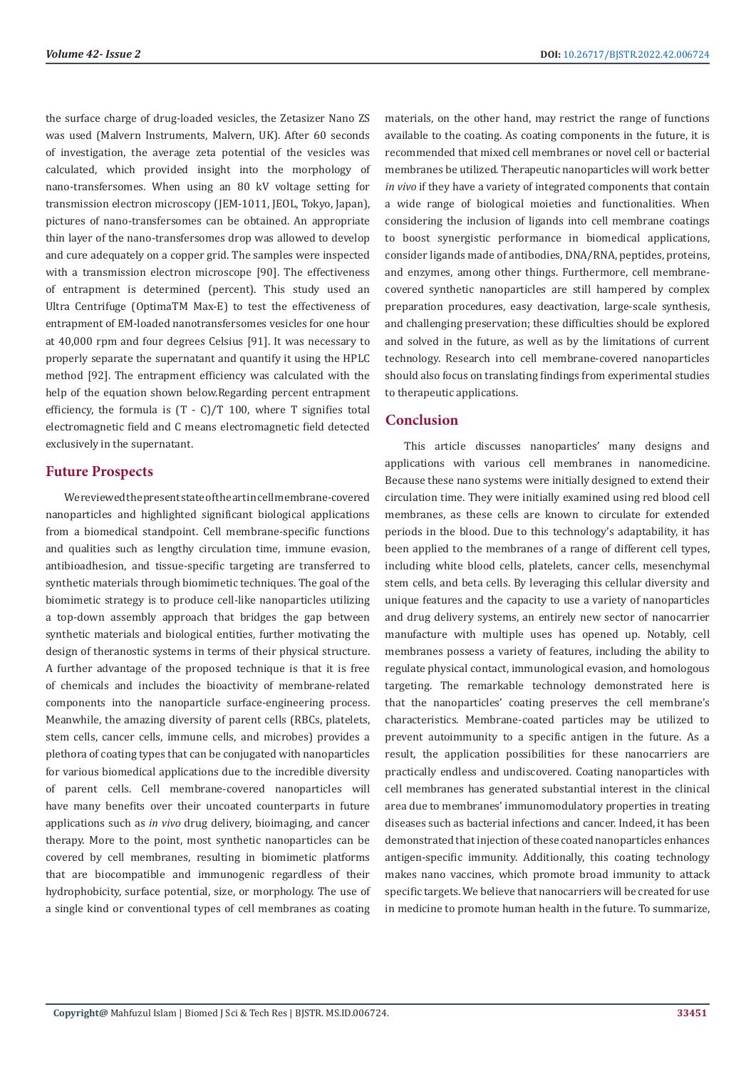the surface charge of drug-loaded vesicles, the Zetasizer Nano ZS was used (Malvern Instruments, Malvern, UK). After 60 seconds of investigation, the average zeta potential of the vesicles was calculated, which provided insight into the morphology of nano-transfersomes. When using an 80 kV voltage setting for transmission electron microscopy (JEM-1011, JEOL, Tokyo, Japan), pictures of nano-transfersomes can be obtained. An appropriate thin layer of the nano-transfersomes drop was allowed to develop and cure adequately on a copper grid. The samples were inspected with a transmission electron microscope [90]. The effectiveness of entrapment is determined (percent). This study used an Ultra Centrifuge (OptimaTM Max-E) to test the effectiveness of entrapment of EM-loaded nanotransfersomes vesicles for one hour at 40,000 rpm and four degrees Celsius [91]. It was necessary to properly separate the supernatant and quantify it using the HPLC method [92]. The entrapment efficiency was calculated with the help of the equation shown below.Regarding percent entrapment efficiency, the formula is (T - C)/T 100, where T signifies total electromagnetic field and C means electromagnetic field detected exclusively in the supernatant.

# **Future Prospects**

We reviewed the present state of the art in cell membrane-covered nanoparticles and highlighted significant biological applications from a biomedical standpoint. Cell membrane-specific functions and qualities such as lengthy circulation time, immune evasion, antibioadhesion, and tissue-specific targeting are transferred to synthetic materials through biomimetic techniques. The goal of the biomimetic strategy is to produce cell-like nanoparticles utilizing a top-down assembly approach that bridges the gap between synthetic materials and biological entities, further motivating the design of theranostic systems in terms of their physical structure. A further advantage of the proposed technique is that it is free of chemicals and includes the bioactivity of membrane-related components into the nanoparticle surface-engineering process. Meanwhile, the amazing diversity of parent cells (RBCs, platelets, stem cells, cancer cells, immune cells, and microbes) provides a plethora of coating types that can be conjugated with nanoparticles for various biomedical applications due to the incredible diversity of parent cells. Cell membrane-covered nanoparticles will have many benefits over their uncoated counterparts in future applications such as *in vivo* drug delivery, bioimaging, and cancer therapy. More to the point, most synthetic nanoparticles can be covered by cell membranes, resulting in biomimetic platforms that are biocompatible and immunogenic regardless of their hydrophobicity, surface potential, size, or morphology. The use of a single kind or conventional types of cell membranes as coating

materials, on the other hand, may restrict the range of functions available to the coating. As coating components in the future, it is recommended that mixed cell membranes or novel cell or bacterial membranes be utilized. Therapeutic nanoparticles will work better *in vivo* if they have a variety of integrated components that contain a wide range of biological moieties and functionalities. When considering the inclusion of ligands into cell membrane coatings to boost synergistic performance in biomedical applications, consider ligands made of antibodies, DNA/RNA, peptides, proteins, and enzymes, among other things. Furthermore, cell membranecovered synthetic nanoparticles are still hampered by complex preparation procedures, easy deactivation, large-scale synthesis, and challenging preservation; these difficulties should be explored and solved in the future, as well as by the limitations of current technology. Research into cell membrane-covered nanoparticles should also focus on translating findings from experimental studies to therapeutic applications.

# **Conclusion**

This article discusses nanoparticles' many designs and applications with various cell membranes in nanomedicine. Because these nano systems were initially designed to extend their circulation time. They were initially examined using red blood cell membranes, as these cells are known to circulate for extended periods in the blood. Due to this technology's adaptability, it has been applied to the membranes of a range of different cell types, including white blood cells, platelets, cancer cells, mesenchymal stem cells, and beta cells. By leveraging this cellular diversity and unique features and the capacity to use a variety of nanoparticles and drug delivery systems, an entirely new sector of nanocarrier manufacture with multiple uses has opened up. Notably, cell membranes possess a variety of features, including the ability to regulate physical contact, immunological evasion, and homologous targeting. The remarkable technology demonstrated here is that the nanoparticles' coating preserves the cell membrane's characteristics. Membrane-coated particles may be utilized to prevent autoimmunity to a specific antigen in the future. As a result, the application possibilities for these nanocarriers are practically endless and undiscovered. Coating nanoparticles with cell membranes has generated substantial interest in the clinical area due to membranes' immunomodulatory properties in treating diseases such as bacterial infections and cancer. Indeed, it has been demonstrated that injection of these coated nanoparticles enhances antigen-specific immunity. Additionally, this coating technology makes nano vaccines, which promote broad immunity to attack specific targets. We believe that nanocarriers will be created for use in medicine to promote human health in the future. To summarize,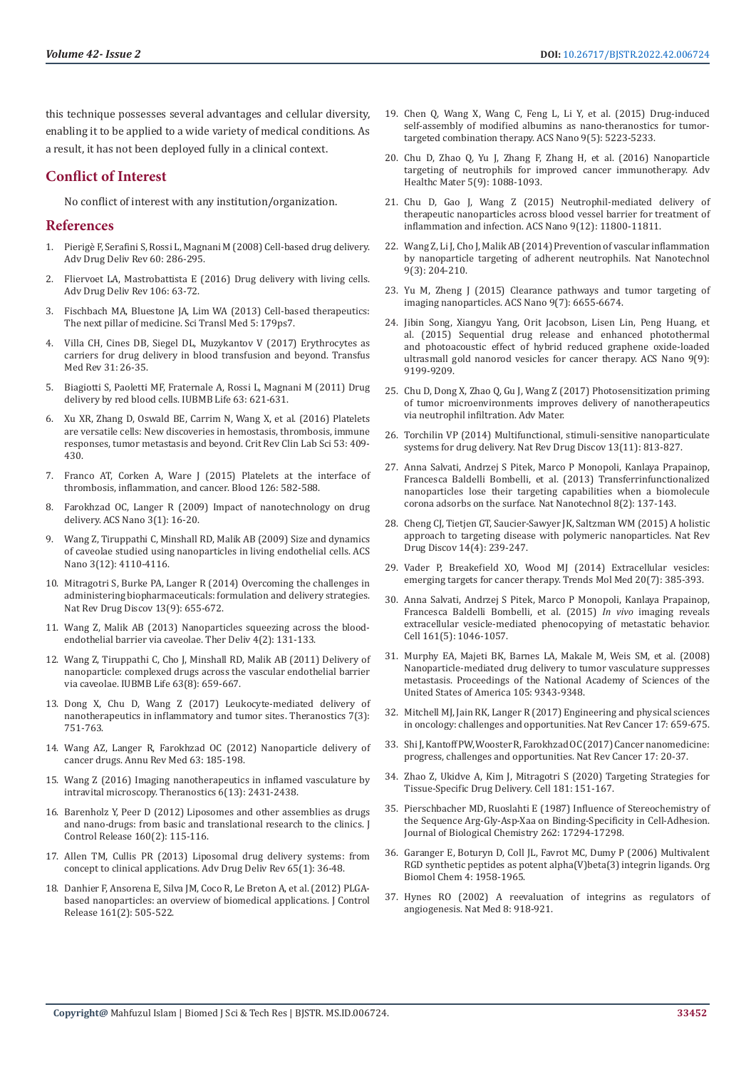this technique possesses several advantages and cellular diversity, enabling it to be applied to a wide variety of medical conditions. As a result, it has not been deployed fully in a clinical context.

# **Conflict of Interest**

No conflict of interest with any institution/organization.

#### **References**

- 1. Pierig[è F, Serafini S, Rossi L, Magnani M \(2008\) Cell-based drug delivery.](https://pubmed.ncbi.nlm.nih.gov/17997501/)  [Adv Drug Deliv Rev 60: 286-295.](https://pubmed.ncbi.nlm.nih.gov/17997501/)
- 2. [Fliervoet LA, Mastrobattista E \(2016\) Drug delivery with living cells.](https://pubmed.ncbi.nlm.nih.gov/27129442/)  [Adv Drug Deliv Rev 106: 63-72.](https://pubmed.ncbi.nlm.nih.gov/27129442/)
- 3. Fischbach MA, Bluestone JA, Lim WA (2013) Cell-based therapeutics: [The next pillar of medicine. Sci Transl Med 5: 179ps7.](https://pubmed.ncbi.nlm.nih.gov/23552369/)
- 4. [Villa CH, Cines DB, Siegel DL, Muzykantov V \(2017\) Erythrocytes as](https://www.ncbi.nlm.nih.gov/pmc/articles/PMC5161683/)  [carriers for drug delivery in blood transfusion and beyond. Transfus](https://www.ncbi.nlm.nih.gov/pmc/articles/PMC5161683/)  [Med Rev 31: 26-35.](https://www.ncbi.nlm.nih.gov/pmc/articles/PMC5161683/)
- 5. Biagiotti S, Paoletti MF, Fraternale A, Rossi L, Magnani M (2011) Drug delivery by red blood cells. IUBMB Life 63: 621-631.
- 6. [Xu XR, Zhang D, Oswald BE, Carrim N, Wang X, et al. \(2016\) Platelets](https://pubmed.ncbi.nlm.nih.gov/27282765/)  [are versatile cells: New discoveries in hemostasis, thrombosis, immune](https://pubmed.ncbi.nlm.nih.gov/27282765/)  [responses, tumor metastasis and beyond. Crit Rev Clin Lab Sci 53: 409-](https://pubmed.ncbi.nlm.nih.gov/27282765/) [430.](https://pubmed.ncbi.nlm.nih.gov/27282765/)
- 7. [Franco AT, Corken A, Ware J \(2015\) Platelets at the interface of](https://pubmed.ncbi.nlm.nih.gov/26109205/)  [thrombosis, inflammation, and cancer. Blood 126: 582-588.](https://pubmed.ncbi.nlm.nih.gov/26109205/)
- 8. [Farokhzad OC, Langer R \(2009\) Impact of nanotechnology on drug](https://pubmed.ncbi.nlm.nih.gov/19206243/)  [delivery. ACS Nano 3\(1\): 16-20.](https://pubmed.ncbi.nlm.nih.gov/19206243/)
- 9. [Wang Z, Tiruppathi C, Minshall RD, Malik AB \(2009\) Size and dynamics](https://pubmed.ncbi.nlm.nih.gov/19919048/)  [of caveolae studied using nanoparticles in living endothelial cells. ACS](https://pubmed.ncbi.nlm.nih.gov/19919048/)  [Nano 3\(12\): 4110-4116.](https://pubmed.ncbi.nlm.nih.gov/19919048/)
- 10. [Mitragotri S, Burke PA, Langer R \(2014\) Overcoming the challenges in](https://pubmed.ncbi.nlm.nih.gov/25103255/)  [administering biopharmaceuticals: formulation and delivery strategies.](https://pubmed.ncbi.nlm.nih.gov/25103255/)  [Nat Rev Drug Discov 13\(9\): 655-672.](https://pubmed.ncbi.nlm.nih.gov/25103255/)
- 11. [Wang Z, Malik AB \(2013\) Nanoparticles squeezing across the blood](https://www.ncbi.nlm.nih.gov/pmc/articles/PMC3660097/)[endothelial barrier via caveolae. Ther Deliv 4\(2\): 131-133.](https://www.ncbi.nlm.nih.gov/pmc/articles/PMC3660097/)
- 12. [Wang Z, Tiruppathi C, Cho J, Minshall RD, Malik AB \(2011\) Delivery of](https://pubmed.ncbi.nlm.nih.gov/21766412/)  [nanoparticle: complexed drugs across the vascular endothelial barrier](https://pubmed.ncbi.nlm.nih.gov/21766412/)  [via caveolae. IUBMB Life 63\(8\): 659-667.](https://pubmed.ncbi.nlm.nih.gov/21766412/)
- 13. [Dong X, Chu D, Wang Z \(2017\) Leukocyte-mediated delivery of](https://pubmed.ncbi.nlm.nih.gov/28255364/)  [nanotherapeutics in inflammatory and tumor sites. Theranostics 7\(3\):](https://pubmed.ncbi.nlm.nih.gov/28255364/)  [751-763.](https://pubmed.ncbi.nlm.nih.gov/28255364/)
- 14. [Wang AZ, Langer R, Farokhzad OC \(2012\) Nanoparticle delivery of](https://pubmed.ncbi.nlm.nih.gov/21888516/)  [cancer drugs. Annu Rev Med 63: 185-198.](https://pubmed.ncbi.nlm.nih.gov/21888516/)
- 15. [Wang Z \(2016\) Imaging nanotherapeutics in inflamed vasculature by](https://pubmed.ncbi.nlm.nih.gov/27877245/)  [intravital microscopy. Theranostics 6\(13\): 2431-2438.](https://pubmed.ncbi.nlm.nih.gov/27877245/)
- 16. [Barenholz Y, Peer D \(2012\) Liposomes and other assemblies as drugs](https://pubmed.ncbi.nlm.nih.gov/22504425/)  [and nano-drugs: from basic and translational research to the clinics. J](https://pubmed.ncbi.nlm.nih.gov/22504425/)  [Control Release 160\(2\): 115-116.](https://pubmed.ncbi.nlm.nih.gov/22504425/)
- 17. [Allen TM, Cullis PR \(2013\) Liposomal drug delivery systems: from](https://pubmed.ncbi.nlm.nih.gov/23036225/)  [concept to clinical applications. Adv Drug Deliv Rev 65\(1\): 36-48.](https://pubmed.ncbi.nlm.nih.gov/23036225/)
- 18. [Danhier F, Ansorena E, Silva JM, Coco R, Le Breton A, et al. \(2012\) PLGA](https://pubmed.ncbi.nlm.nih.gov/22353619/)[based nanoparticles: an overview of biomedical applications. J Control](https://pubmed.ncbi.nlm.nih.gov/22353619/)  [Release 161\(2\): 505-522.](https://pubmed.ncbi.nlm.nih.gov/22353619/)
- 19. [Chen Q, Wang X, Wang C, Feng L, Li Y, et al. \(2015\) Drug-induced](https://pubmed.ncbi.nlm.nih.gov/25950506/) [self-assembly of modified albumins as nano-theranostics for tumor](https://pubmed.ncbi.nlm.nih.gov/25950506/)[targeted combination therapy. ACS Nano 9\(5\): 5223-5233.](https://pubmed.ncbi.nlm.nih.gov/25950506/)
- 20. [Chu D, Zhao Q, Yu J, Zhang F, Zhang H, et al. \(2016\) Nanoparticle](https://pubmed.ncbi.nlm.nih.gov/26989887/) [targeting of neutrophils for improved cancer immunotherapy. Adv](https://pubmed.ncbi.nlm.nih.gov/26989887/) [Healthc Mater 5\(9\): 1088-1093.](https://pubmed.ncbi.nlm.nih.gov/26989887/)
- 21. [Chu D, Gao J, Wang Z \(2015\) Neutrophil-mediated delivery of](https://pubmed.ncbi.nlm.nih.gov/26516654/) [therapeutic nanoparticles across blood vessel barrier for treatment of](https://pubmed.ncbi.nlm.nih.gov/26516654/) [inflammation and infection. ACS Nano 9\(12\): 11800-11811.](https://pubmed.ncbi.nlm.nih.gov/26516654/)
- 22. [Wang Z, Li J, Cho J, Malik AB \(2014\) Prevention of vascular inflammation](https://pubmed.ncbi.nlm.nih.gov/24561355/) [by nanoparticle targeting of adherent neutrophils. Nat Nanotechnol](https://pubmed.ncbi.nlm.nih.gov/24561355/) [9\(3\): 204-210.](https://pubmed.ncbi.nlm.nih.gov/24561355/)
- 23. [Yu M, Zheng J \(2015\) Clearance pathways and tumor targeting of](https://pubmed.ncbi.nlm.nih.gov/26149184/) [imaging nanoparticles. ACS Nano 9\(7\): 6655-6674.](https://pubmed.ncbi.nlm.nih.gov/26149184/)
- 24. [Jibin Song, Xiangyu Yang, Orit Jacobson, Lisen Lin, Peng Huang, et](https://pubmed.ncbi.nlm.nih.gov/26308265/) [al. \(2015\) Sequential drug release and enhanced photothermal](https://pubmed.ncbi.nlm.nih.gov/26308265/) [and photoacoustic effect of hybrid reduced graphene oxide-loaded](https://pubmed.ncbi.nlm.nih.gov/26308265/) [ultrasmall gold nanorod vesicles for cancer therapy. ACS Nano 9\(9\):](https://pubmed.ncbi.nlm.nih.gov/26308265/) [9199-9209.](https://pubmed.ncbi.nlm.nih.gov/26308265/)
- 25. Chu D, Dong X, Zhao Q, Gu J, Wang Z (2017) Photosensitization priming of tumor microenvironments improves delivery of nanotherapeutics via neutrophil infiltration. Adv Mater.
- 26. [Torchilin VP \(2014\) Multifunctional, stimuli-sensitive nanoparticulate](https://pubmed.ncbi.nlm.nih.gov/25287120/) [systems for drug delivery. Nat Rev Drug Discov 13\(11\): 813-827.](https://pubmed.ncbi.nlm.nih.gov/25287120/)
- 27. [Anna Salvati, Andrzej S Pitek, Marco P Monopoli, Kanlaya Prapainop,](https://pubmed.ncbi.nlm.nih.gov/23334168/) [Francesca Baldelli Bombelli, et al. \(2013\) Transferrinfunctionalized](https://pubmed.ncbi.nlm.nih.gov/23334168/) [nanoparticles lose their targeting capabilities when a biomolecule](https://pubmed.ncbi.nlm.nih.gov/23334168/) [corona adsorbs on the surface. Nat Nanotechnol 8\(2\): 137-143.](https://pubmed.ncbi.nlm.nih.gov/23334168/)
- 28. [Cheng CJ, Tietjen GT, Saucier-Sawyer JK, Saltzman WM \(2015\) A holistic](https://pubmed.ncbi.nlm.nih.gov/25598505/) [approach to targeting disease with polymeric nanoparticles. Nat Rev](https://pubmed.ncbi.nlm.nih.gov/25598505/) [Drug Discov 14\(4\): 239-247.](https://pubmed.ncbi.nlm.nih.gov/25598505/)
- 29. [Vader P, Breakefield XO, Wood MJ \(2014\) Extracellular vesicles:](https://pubmed.ncbi.nlm.nih.gov/24703619/) [emerging targets for cancer therapy. Trends Mol Med 20\(7\): 385-393.](https://pubmed.ncbi.nlm.nih.gov/24703619/)
- 30. [Anna Salvati, Andrzej S Pitek, Marco P Monopoli, Kanlaya Prapainop,](https://pubmed.ncbi.nlm.nih.gov/26000481/) [Francesca Baldelli Bombelli, et al. \(2015\)](https://pubmed.ncbi.nlm.nih.gov/26000481/) *In vivo* imaging reveals [extracellular vesicle-mediated phenocopying of metastatic behavior.](https://pubmed.ncbi.nlm.nih.gov/26000481/) [Cell 161\(5\): 1046-1057.](https://pubmed.ncbi.nlm.nih.gov/26000481/)
- 31. [Murphy EA, Majeti BK, Barnes LA, Makale M, Weis SM, et al. \(2008\)](https://pubmed.ncbi.nlm.nih.gov/18607000/) [Nanoparticle-mediated drug delivery to tumor vasculature suppresses](https://pubmed.ncbi.nlm.nih.gov/18607000/) [metastasis. Proceedings of the National Academy of Sciences of the](https://pubmed.ncbi.nlm.nih.gov/18607000/) [United States of America 105: 9343-9348.](https://pubmed.ncbi.nlm.nih.gov/18607000/)
- 32. [Mitchell MJ, Jain RK, Langer R \(2017\) Engineering and physical sciences](https://pubmed.ncbi.nlm.nih.gov/29026204/) [in oncology: challenges and opportunities. Nat Rev Cancer 17: 659-675.](https://pubmed.ncbi.nlm.nih.gov/29026204/)
- 33. Shi J, Kantoff PW, Wooster R, Farokhzad OC (2017) Cancer nanomedicine: progress, challenges and opportunities. Nat Rev Cancer 17: 20-37.
- 34. Zhao Z, Ukidve A, Kim J, Mitragotri S (2020) Targeting Strategies for Tissue-Specific Drug Delivery. Cell 181: 151-167.
- 35. [Pierschbacher MD, Ruoslahti E \(1987\) Influence of Stereochemistry of](https://pubmed.ncbi.nlm.nih.gov/3693352/) [the Sequence Arg-Gly-Asp-Xaa on Binding-Specificity in Cell-Adhesion.](https://pubmed.ncbi.nlm.nih.gov/3693352/) [Journal of Biological Chemistry 262: 17294-17298.](https://pubmed.ncbi.nlm.nih.gov/3693352/)
- 36. [Garanger E, Boturyn D, Coll JL, Favrot MC, Dumy P \(2006\) Multivalent](https://pubmed.ncbi.nlm.nih.gov/16688341/) [RGD synthetic peptides as potent alpha\(V\)beta\(3\) integrin ligands. Org](https://pubmed.ncbi.nlm.nih.gov/16688341/) [Biomol Chem 4: 1958-1965.](https://pubmed.ncbi.nlm.nih.gov/16688341/)
- 37. [Hynes RO \(2002\) A reevaluation of integrins as regulators of](https://pubmed.ncbi.nlm.nih.gov/12205444/) [angiogenesis. Nat Med 8: 918-921.](https://pubmed.ncbi.nlm.nih.gov/12205444/)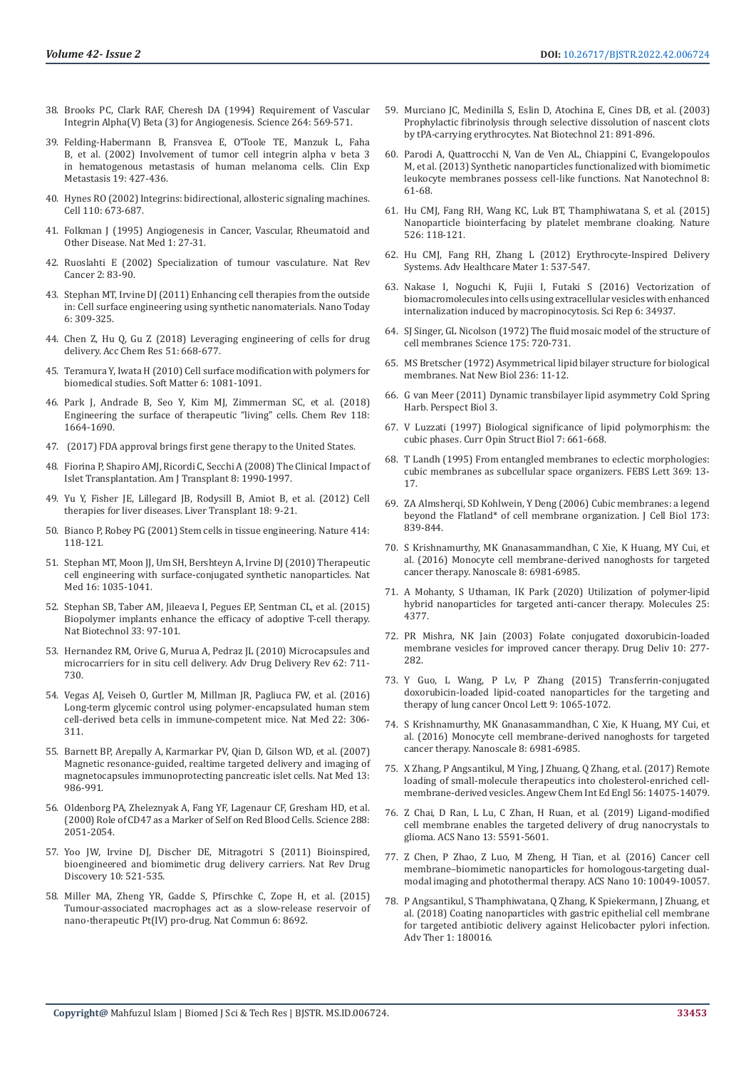- 38. [Brooks PC, Clark RAF, Cheresh DA \(1994\) Requirement of Vascular](https://pubmed.ncbi.nlm.nih.gov/7512751/)  [Integrin Alpha\(V\) Beta \(3\) for Angiogenesis. Science 264: 569-571.](https://pubmed.ncbi.nlm.nih.gov/7512751/)
- 39. [Felding-Habermann B, Fransvea E, O'Toole TE, Manzuk L, Faha](https://pubmed.ncbi.nlm.nih.gov/12198771/)  [B, et al. \(2002\) Involvement of tumor cell integrin alpha v beta 3](https://pubmed.ncbi.nlm.nih.gov/12198771/)  [in hematogenous metastasis of human melanoma cells. Clin Exp](https://pubmed.ncbi.nlm.nih.gov/12198771/)  [Metastasis 19: 427-436.](https://pubmed.ncbi.nlm.nih.gov/12198771/)
- 40. [Hynes RO \(2002\) Integrins: bidirectional, allosteric signaling machines.](https://pubmed.ncbi.nlm.nih.gov/12297042/)  [Cell 110: 673-687.](https://pubmed.ncbi.nlm.nih.gov/12297042/)
- 41. [Folkman J \(1995\) Angiogenesis in Cancer, Vascular, Rheumatoid and](https://pubmed.ncbi.nlm.nih.gov/7584949/)  [Other Disease. Nat Med 1: 27-31.](https://pubmed.ncbi.nlm.nih.gov/7584949/)
- 42. [Ruoslahti E \(2002\) Specialization of tumour vasculature. Nat Rev](https://pubmed.ncbi.nlm.nih.gov/12635171/)  [Cancer 2: 83-90.](https://pubmed.ncbi.nlm.nih.gov/12635171/)
- 43. [Stephan MT, Irvine DJ \(2011\) Enhancing cell therapies from the outside](https://pubmed.ncbi.nlm.nih.gov/21826117/)  [in: Cell surface engineering using synthetic nanomaterials. Nano Today](https://pubmed.ncbi.nlm.nih.gov/21826117/)  [6: 309-325.](https://pubmed.ncbi.nlm.nih.gov/21826117/)
- 44. [Chen Z, Hu Q, Gu Z \(2018\) Leveraging engineering of cells for drug](https://pubmed.ncbi.nlm.nih.gov/29446615/)  [delivery. Acc Chem Res 51: 668-677.](https://pubmed.ncbi.nlm.nih.gov/29446615/)
- 45. [Teramura Y, Iwata H \(2010\) Cell surface modification with polymers for](https://pubs.rsc.org/en/content/articlelanding/2010/sm/b913621e)  [biomedical studies. Soft Matter 6: 1081-1091.](https://pubs.rsc.org/en/content/articlelanding/2010/sm/b913621e)
- 46. [Park J, Andrade B, Seo Y, Kim MJ, Zimmerman SC, et al. \(2018\)](https://www.ncbi.nlm.nih.gov/pmc/articles/PMC8243527/)  [Engineering the surface of therapeutic "living" cells. Chem Rev 118:](https://www.ncbi.nlm.nih.gov/pmc/articles/PMC8243527/)  [1664-1690.](https://www.ncbi.nlm.nih.gov/pmc/articles/PMC8243527/)
- 47. [\(2017\) FDA approval brings first gene therapy to the United States.](https://www.fda.gov/NewsEvents/Newsroom/PressAnnouncements/%20ucm574058.htm))
- 48. [Fiorina P, Shapiro AMJ, Ricordi C, Secchi A \(2008\) The Clinical Impact of](https://pubmed.ncbi.nlm.nih.gov/18828765/)  [Islet Transplantation. Am J Transplant 8: 1990-1997.](https://pubmed.ncbi.nlm.nih.gov/18828765/)
- 49. [Yu Y, Fisher JE, Lillegard JB, Rodysill B, Amiot B, et al. \(2012\) Cell](https://www.ncbi.nlm.nih.gov/pmc/articles/PMC3245367/)  [therapies for liver diseases. Liver Transplant 18: 9-21.](https://www.ncbi.nlm.nih.gov/pmc/articles/PMC3245367/)
- 50. [Bianco P, Robey PG \(2001\) Stem cells in tissue engineering. Nature 414:](https://pubmed.ncbi.nlm.nih.gov/11689957/)  [118-121.](https://pubmed.ncbi.nlm.nih.gov/11689957/)
- 51. [Stephan MT, Moon JJ, Um SH, Bershteyn A, Irvine DJ \(2010\) Therapeutic](https://pubmed.ncbi.nlm.nih.gov/20711198/)  [cell engineering with surface-conjugated synthetic nanoparticles. Nat](https://pubmed.ncbi.nlm.nih.gov/20711198/)  [Med 16: 1035-1041.](https://pubmed.ncbi.nlm.nih.gov/20711198/)
- 52. [Stephan SB, Taber AM, Jileaeva I, Pegues EP, Sentman CL, et al. \(2015\)](https://pubmed.ncbi.nlm.nih.gov/25503382/)  [Biopolymer implants enhance the efficacy of adoptive T-cell therapy.](https://pubmed.ncbi.nlm.nih.gov/25503382/)  [Nat Biotechnol 33: 97-101.](https://pubmed.ncbi.nlm.nih.gov/25503382/)
- 53. [Hernandez RM, Orive G, Murua A, Pedraz JL \(2010\) Microcapsules and](https://pubmed.ncbi.nlm.nih.gov/20153388/)  [microcarriers for in situ cell delivery. Adv Drug Delivery Rev 62: 711-](https://pubmed.ncbi.nlm.nih.gov/20153388/) [730.](https://pubmed.ncbi.nlm.nih.gov/20153388/)
- 54. [Vegas AJ, Veiseh O, Gurtler M, Millman JR, Pagliuca FW, et al. \(2016\)](https://pubmed.ncbi.nlm.nih.gov/26808346/)  [Long-term glycemic control using polymer-encapsulated human stem](https://pubmed.ncbi.nlm.nih.gov/26808346/)  [cell-derived beta cells in immune-competent mice. Nat Med 22: 306-](https://pubmed.ncbi.nlm.nih.gov/26808346/) [311.](https://pubmed.ncbi.nlm.nih.gov/26808346/)
- 55. [Barnett BP, Arepally A, Karmarkar PV, Qian D, Gilson WD, et al. \(2007\)](https://pubmed.ncbi.nlm.nih.gov/17660829/)  [Magnetic resonance-guided, realtime targeted delivery and imaging of](https://pubmed.ncbi.nlm.nih.gov/17660829/)  [magnetocapsules immunoprotecting pancreatic islet cells. Nat Med 13:](https://pubmed.ncbi.nlm.nih.gov/17660829/)  [986-991.](https://pubmed.ncbi.nlm.nih.gov/17660829/)
- 56. [Oldenborg PA, Zheleznyak A, Fang YF, Lagenaur CF, Gresham HD, et al.](https://pubmed.ncbi.nlm.nih.gov/10856220/)  [\(2000\) Role of CD47 as a Marker of Self on Red Blood Cells. Science 288:](https://pubmed.ncbi.nlm.nih.gov/10856220/)  [2051-2054.](https://pubmed.ncbi.nlm.nih.gov/10856220/)
- 57. [Yoo JW, Irvine DJ, Discher DE, Mitragotri S \(2011\) Bioinspired,](https://pubmed.ncbi.nlm.nih.gov/21720407/)  [bioengineered and biomimetic drug delivery carriers. Nat Rev Drug](https://pubmed.ncbi.nlm.nih.gov/21720407/)  [Discovery 10: 521-535.](https://pubmed.ncbi.nlm.nih.gov/21720407/)
- 58. [Miller MA, Zheng YR, Gadde S, Pfirschke C, Zope H, et al. \(2015\)](https://www.nature.com/articles/ncomms9692)  [Tumour-associated macrophages act as a slow-release reservoir of](https://www.nature.com/articles/ncomms9692)  [nano-therapeutic Pt\(IV\) pro-drug. Nat Commun 6: 8692.](https://www.nature.com/articles/ncomms9692)
- 59. [Murciano JC, Medinilla S, Eslin D, Atochina E, Cines DB, et al. \(2003\)](https://www.researchgate.net/publication/10675337_Prophylatic_fibrinolysis_through_selective_dissolution_of_nascent_clots_by_tPA-carrying_erythrocytes) [Prophylactic fibrinolysis through selective dissolution of nascent clots](https://www.researchgate.net/publication/10675337_Prophylatic_fibrinolysis_through_selective_dissolution_of_nascent_clots_by_tPA-carrying_erythrocytes) [by tPA-carrying erythrocytes. Nat Biotechnol 21: 891-896.](https://www.researchgate.net/publication/10675337_Prophylatic_fibrinolysis_through_selective_dissolution_of_nascent_clots_by_tPA-carrying_erythrocytes)
- 60. [Parodi A, Quattrocchi N, Van de Ven AL, Chiappini C, Evangelopoulos](https://pubmed.ncbi.nlm.nih.gov/23241654/) [M, et al. \(2013\) Synthetic nanoparticles functionalized with biomimetic](https://pubmed.ncbi.nlm.nih.gov/23241654/) [leukocyte membranes possess cell-like functions. Nat Nanotechnol 8:](https://pubmed.ncbi.nlm.nih.gov/23241654/) [61-68.](https://pubmed.ncbi.nlm.nih.gov/23241654/)
- 61. [Hu CMJ, Fang RH, Wang KC, Luk BT, Thamphiwatana S, et al. \(2015\)](https://pubmed.ncbi.nlm.nih.gov/26374997/) [Nanoparticle biointerfacing by platelet membrane cloaking. Nature](https://pubmed.ncbi.nlm.nih.gov/26374997/) [526: 118-121.](https://pubmed.ncbi.nlm.nih.gov/26374997/)
- 62. [Hu CMJ, Fang RH, Zhang L \(2012\) Erythrocyte-Inspired Delivery](https://pubmed.ncbi.nlm.nih.gov/23184788/) [Systems. Adv Healthcare Mater 1: 537-547.](https://pubmed.ncbi.nlm.nih.gov/23184788/)
- 63. [Nakase I, Noguchi K, Fujii I, Futaki S \(2016\) Vectorization of](https://www.researchgate.net/publication/309220610_Vectorization_of_biomacromolecules_into_cells_using_extracellular_vesicles_with_enhanced_internalization_induced_by_macropinocytosis) [biomacromolecules into cells using extracellular vesicles with enhanced](https://www.researchgate.net/publication/309220610_Vectorization_of_biomacromolecules_into_cells_using_extracellular_vesicles_with_enhanced_internalization_induced_by_macropinocytosis) [internalization induced by macropinocytosis. Sci Rep 6: 34937.](https://www.researchgate.net/publication/309220610_Vectorization_of_biomacromolecules_into_cells_using_extracellular_vesicles_with_enhanced_internalization_induced_by_macropinocytosis)
- 64. [SJ Singer, GL Nicolson \(1972\) The fluid mosaic model of the structure of](https://pubmed.ncbi.nlm.nih.gov/4333397/) [cell membranes Science 175: 720-731](https://pubmed.ncbi.nlm.nih.gov/4333397/).
- 65. [MS Bretscher \(1972\) Asymmetrical lipid bilayer structure for biological](https://pubmed.ncbi.nlm.nih.gov/4502419/) [membranes. Nat New Biol 236: 11-12](https://pubmed.ncbi.nlm.nih.gov/4502419/).
- 66. [G van Meer \(2011\) Dynamic transbilayer lipid asymmetry Cold Spring](https://www.ncbi.nlm.nih.gov/pmc/articles/PMC3101844/) [Harb. Perspect Biol 3.](https://www.ncbi.nlm.nih.gov/pmc/articles/PMC3101844/)
- 67. [V Luzzati \(1997\) Biological significance of lipid polymorphism: the](https://pubmed.ncbi.nlm.nih.gov/9345624/) [cubic phases. Curr Opin Struct Biol 7: 661-668](https://pubmed.ncbi.nlm.nih.gov/9345624/).
- 68. [T Landh \(1995\) From entangled membranes to eclectic morphologies:](https://pubmed.ncbi.nlm.nih.gov/7641875/) [cubic membranes as subcellular space organizers. FEBS Lett 369: 13-](https://pubmed.ncbi.nlm.nih.gov/7641875/) [17](https://pubmed.ncbi.nlm.nih.gov/7641875/).
- 69. [ZA Almsherqi, SD Kohlwein, Y Deng \(2006\) Cubic membranes: a legend](https://pubmed.ncbi.nlm.nih.gov/16785319/) [beyond the Flatland\\* of cell membrane organization. J Cell Biol 173:](https://pubmed.ncbi.nlm.nih.gov/16785319/) [839-844.](https://pubmed.ncbi.nlm.nih.gov/16785319/)
- 70. [S Krishnamurthy, MK Gnanasammandhan, C Xie, K Huang, MY Cui, et](https://pubmed.ncbi.nlm.nih.gov/26975904/) [al. \(2016\) Monocyte cell membrane-derived nanoghosts for targeted](https://pubmed.ncbi.nlm.nih.gov/26975904/) [cancer therapy. Nanoscale 8: 6981-6985](https://pubmed.ncbi.nlm.nih.gov/26975904/).
- 71. [A Mohanty, S Uthaman, IK Park \(2020\) Utilization of polymer-lipid](https://pubmed.ncbi.nlm.nih.gov/32977707/) [hybrid nanoparticles for targeted anti-cancer therapy. Molecules 25:](https://pubmed.ncbi.nlm.nih.gov/32977707/) [4377](https://pubmed.ncbi.nlm.nih.gov/32977707/).
- 72. [PR Mishra, NK Jain \(2003\) Folate conjugated doxorubicin-loaded](https://pubmed.ncbi.nlm.nih.gov/14612344/) [membrane vesicles for improved cancer therapy. Drug Deliv 10: 277-](https://pubmed.ncbi.nlm.nih.gov/14612344/) [282.](https://pubmed.ncbi.nlm.nih.gov/14612344/)
- 73. [Y Guo, L Wang, P Lv, P Zhang \(2015\) Transferrin-conjugated](https://pubmed.ncbi.nlm.nih.gov/25663858/) [doxorubicin-loaded lipid-coated nanoparticles for the targeting and](https://pubmed.ncbi.nlm.nih.gov/25663858/) [therapy of lung cancer Oncol Lett 9: 1065-1072.](https://pubmed.ncbi.nlm.nih.gov/25663858/)
- 74. [S Krishnamurthy, MK Gnanasammandhan, C Xie, K Huang, MY Cui, et](https://pubmed.ncbi.nlm.nih.gov/26975904/) [al. \(2016\) Monocyte cell membrane-derived nanoghosts for targeted](https://pubmed.ncbi.nlm.nih.gov/26975904/) [cancer therapy. Nanoscale 8: 6981-6985](https://pubmed.ncbi.nlm.nih.gov/26975904/).
- 75. [X Zhang, P Angsantikul, M Ying, J Zhuang, Q Zhang, et al. \(2017\) Remote](https://pubmed.ncbi.nlm.nih.gov/28892588/) [loading of small-molecule therapeutics into cholesterol-enriched cell](https://pubmed.ncbi.nlm.nih.gov/28892588/)[membrane-derived vesicles. Angew Chem Int Ed Engl 56: 14075-14079.](https://pubmed.ncbi.nlm.nih.gov/28892588/)
- 76. [Z Chai, D Ran, L Lu, C Zhan, H Ruan, et al. \(2019\) Ligand-modified](https://pubmed.ncbi.nlm.nih.gov/31070352/) [cell membrane enables the targeted delivery of drug nanocrystals to](https://pubmed.ncbi.nlm.nih.gov/31070352/) [glioma. ACS Nano 13: 5591-5601.](https://pubmed.ncbi.nlm.nih.gov/31070352/)
- 77. [Z Chen, P Zhao, Z Luo, M Zheng, H Tian, et al. \(2016\) Cancer cell](https://pubmed.ncbi.nlm.nih.gov/27934074/) [membrane–biomimetic nanoparticles for homologous-targeting dual](https://pubmed.ncbi.nlm.nih.gov/27934074/)[modal imaging and photothermal therapy. ACS Nano 10: 10049-10057.](https://pubmed.ncbi.nlm.nih.gov/27934074/)
- 78. [P Angsantikul, S Thamphiwatana, Q Zhang, K Spiekermann, J Zhuang, et](https://pubmed.ncbi.nlm.nih.gov/30320205/) [al. \(2018\) Coating nanoparticles with gastric epithelial cell membrane](https://pubmed.ncbi.nlm.nih.gov/30320205/) [for targeted antibiotic delivery against Helicobacter pylori infection.](https://pubmed.ncbi.nlm.nih.gov/30320205/) [Adv Ther 1: 180016.](https://pubmed.ncbi.nlm.nih.gov/30320205/)